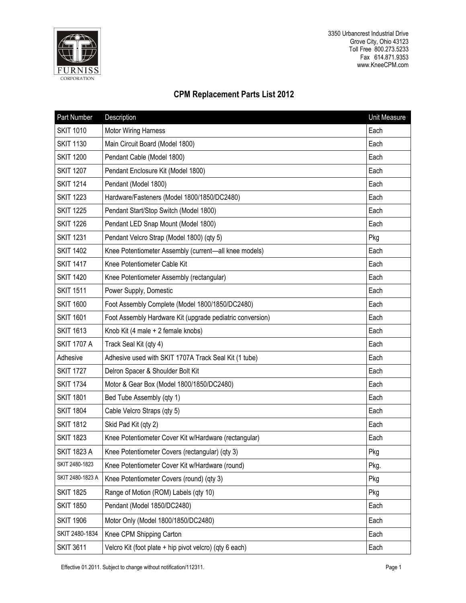

3350 Urbancrest Industrial Drive Grove City, Ohio 43123 Toll Free 800.273.5233 Fax 614.871.9353 www.KneeCPM.com

## **CPM Replacement Parts List 2012**

| Part Number        | Description                                               | Unit Measure |
|--------------------|-----------------------------------------------------------|--------------|
| <b>SKIT 1010</b>   | <b>Motor Wiring Harness</b>                               | Each         |
| <b>SKIT 1130</b>   | Main Circuit Board (Model 1800)                           | Each         |
| <b>SKIT 1200</b>   | Pendant Cable (Model 1800)                                | Each         |
| <b>SKIT 1207</b>   | Pendant Enclosure Kit (Model 1800)                        | Each         |
| <b>SKIT 1214</b>   | Pendant (Model 1800)                                      | Each         |
| <b>SKIT 1223</b>   | Hardware/Fasteners (Model 1800/1850/DC2480)               | Each         |
| <b>SKIT 1225</b>   | Pendant Start/Stop Switch (Model 1800)                    | Each         |
| <b>SKIT 1226</b>   | Pendant LED Snap Mount (Model 1800)                       | Each         |
| <b>SKIT 1231</b>   | Pendant Velcro Strap (Model 1800) (qty 5)                 | Pkg          |
| <b>SKIT 1402</b>   | Knee Potentiometer Assembly (current-all knee models)     | Each         |
| <b>SKIT 1417</b>   | Knee Potentiometer Cable Kit                              | Each         |
| <b>SKIT 1420</b>   | Knee Potentiometer Assembly (rectangular)                 | Each         |
| <b>SKIT 1511</b>   | Power Supply, Domestic                                    | Each         |
| <b>SKIT 1600</b>   | Foot Assembly Complete (Model 1800/1850/DC2480)           | Each         |
| <b>SKIT 1601</b>   | Foot Assembly Hardware Kit (upgrade pediatric conversion) | Each         |
| <b>SKIT 1613</b>   | Knob Kit (4 male + 2 female knobs)                        | Each         |
| <b>SKIT 1707 A</b> | Track Seal Kit (qty 4)                                    | Each         |
| Adhesive           | Adhesive used with SKIT 1707A Track Seal Kit (1 tube)     | Each         |
| <b>SKIT 1727</b>   | Delron Spacer & Shoulder Bolt Kit                         | Each         |
| <b>SKIT 1734</b>   | Motor & Gear Box (Model 1800/1850/DC2480)                 | Each         |
| <b>SKIT 1801</b>   | Bed Tube Assembly (qty 1)                                 | Each         |
| <b>SKIT 1804</b>   | Cable Velcro Straps (qty 5)                               | Each         |
| <b>SKIT 1812</b>   | Skid Pad Kit (qty 2)                                      | Each         |
| <b>SKIT 1823</b>   | Knee Potentiometer Cover Kit w/Hardware (rectangular)     | Each         |
| <b>SKIT 1823 A</b> | Knee Potentiometer Covers (rectangular) (qty 3)           | Pkg          |
| SKIT 2480-1823     | Knee Potentiometer Cover Kit w/Hardware (round)           | Pkg.         |
| SKIT 2480-1823 A   | Knee Potentiometer Covers (round) (qty 3)                 | Pkg          |
| <b>SKIT 1825</b>   | Range of Motion (ROM) Labels (qty 10)                     | Pkg          |
| <b>SKIT 1850</b>   | Pendant (Model 1850/DC2480)                               | Each         |
| <b>SKIT 1906</b>   | Motor Only (Model 1800/1850/DC2480)                       | Each         |
| SKIT 2480-1834     | Knee CPM Shipping Carton                                  | Each         |
| <b>SKIT 3611</b>   | Velcro Kit (foot plate + hip pivot velcro) (qty 6 each)   | Each         |